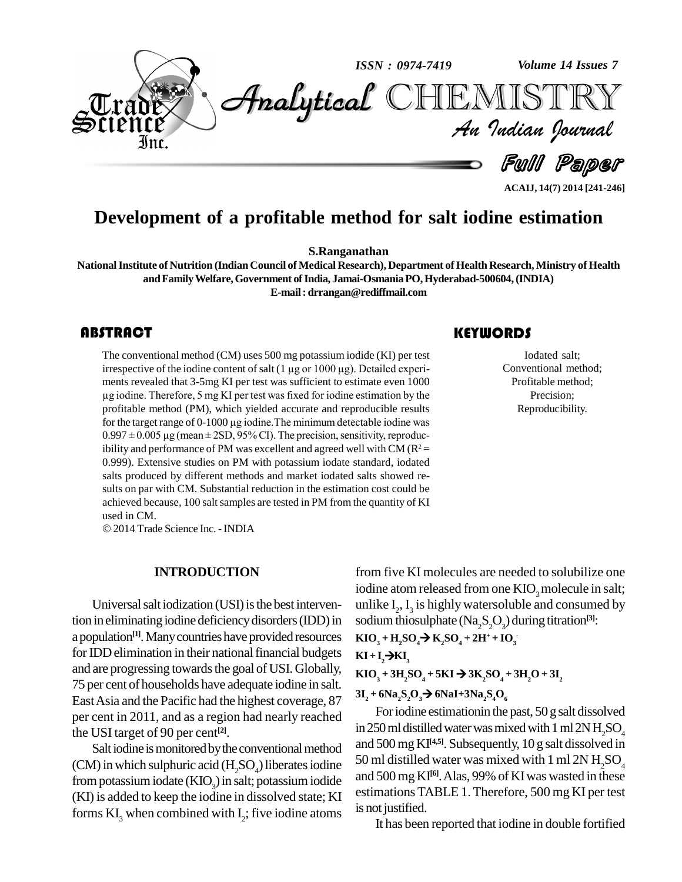

### **ACAIJ, 14(7) 2014 [241-246]**

## **Development of a profitable method for salt iodine estimation**

**S.Ranganathan**

**NationalInstitute of Nutrition (Indian Council of Medical Research), Department of Health Research, Ministry of Health andFamilyWelfare,Government ofIndia, Jamai-OsmaniaPO,Hyderabad-500604,(INDIA) E-mail: [drrangan@rediffmail.com](mailto:drrangan@rediffmail.com)**

The conventional method<br>irrespective of the iodine<br>ments revealed that 3-5m The conventional method (CM) uses 500 mg potassium iodide (KI) per test The conventional method (CM) uses 500 mg potassium iodide (KI) per test<br>irrespective of the iodine content of salt (1 µg or 1000 µg). Detailed experiments revealed that 3-5mg KI per test was sufficient to estimate even 1000 irrespective of the iodine content of salt  $(1 \mu g$  or  $1000 \mu g)$ . Detailed experiments revealed that 3-5mg KI per test was sufficient to estimate even  $1000$ <br>ug iodine. Therefore, 5 mg KI per test was fixed for iodine est profitable method (PM), which yielded accurate and reproducible results  $\mu$ g iodine. Therefore, 5 mg KI per test was fixed for iodine estimation by the profitable method (PM), which yielded accurate and reproducible results for the target range of 0-1000  $\mu$ g iodine. The minimum detectable  $0.997 \pm 0.005 \,\mu$ g (mean  $\pm 2SD$ , 95% CI). The precision, sensitivity, reproducibility and performance of PM was excellent and agreed well with CM ( $\mathbb{R}^2$  = 0.999). Extensive studies on PM with potassium iodate standard, iodated salts produced by different methods and market iodated salts showed re sults on par with CM. Substantial reduction in the estimation cost could be achieved because, 100 salt samples are tested in PM from the quantity of KI used in CM.

© 2014 Trade Science Inc. - INDIA

#### **INTRODUCTION**

Universal saltiodization (USI) is the best intervention in eliminating iodine deficiency disorders (IDD) in a population<sup>[1]</sup>. Many countries have provided resources KIO, for IDD elimination in their national financial budgets and are progressing towards the goal of USI. Globally, 75 per cent of households have adequate iodine in salt. EastAsia and the Pacific had the highest coverage, 87 per cent in 2011, and as a region had nearly reached the USItarget of 90 per cent **[2]**.

Salt iodine is monitored by the conventional method (CM) in which sulphuric acid  $(H, SO<sub>A</sub>)$  liberates iodine from potassium iodate  $(KIO<sub>2</sub>)$  in salt; potassium iodide (KI) is added to keep the iodine in dissolved state; KI forms  $KI_3$  when combined with  $I_2$ ; five iodine atoms  $I_3^{\text{B}}$  is not

### from five KI molecules are needed to solubilize one iodine atom released from one KIO<sub>2</sub> molecule in salt; unlike  $I_2$ ,  $I_3$  is highly watersoluble and consumed by sodium thiosulphate  $(Na_2S_2O_3)$  during titration<sup>[3]</sup>:

 $KIO_3 + H_2SO_4 \rightarrow K_2SO_4 + 2H^+ + IO_3$ 

$$
\mathbf{KI} + \mathbf{I}_2 \rightarrow \mathbf{KI}_3
$$

 $KIO_3 + 3H_2SO_4 + 5KI \rightarrow 3K_2SO_4 + 3H_2O + 3I_2$ **2**

 $3I_2 + 6Na_2S_2O_3 \rightarrow 6NaI + 3Na_2S_4O_6$ 

**3**

For iodine estimation in the past, 50 g salt dissolved in 250 ml distilled water was mixed with 1 ml  $2NH$ <sub>2</sub>SO<sub>4</sub> and 500mgKI **[4,5]**. Subsequently, 10 g salt dissolved in 50 ml distilled water was mixed with 1 ml 2N  $H_2SO_4$ and 500 mg KI<sup>61</sup>. Alas, 99% of KI was wasted in these estimations TABLE 1.Therefore, 500 mg KI per test is not justified.

It has been reported that iodine in double fortified

Islam Contracted Salt<br>Conventional me<br>Profitable meth Iodated salt; Conventional method; Profitable method; Precision; Reproducibility.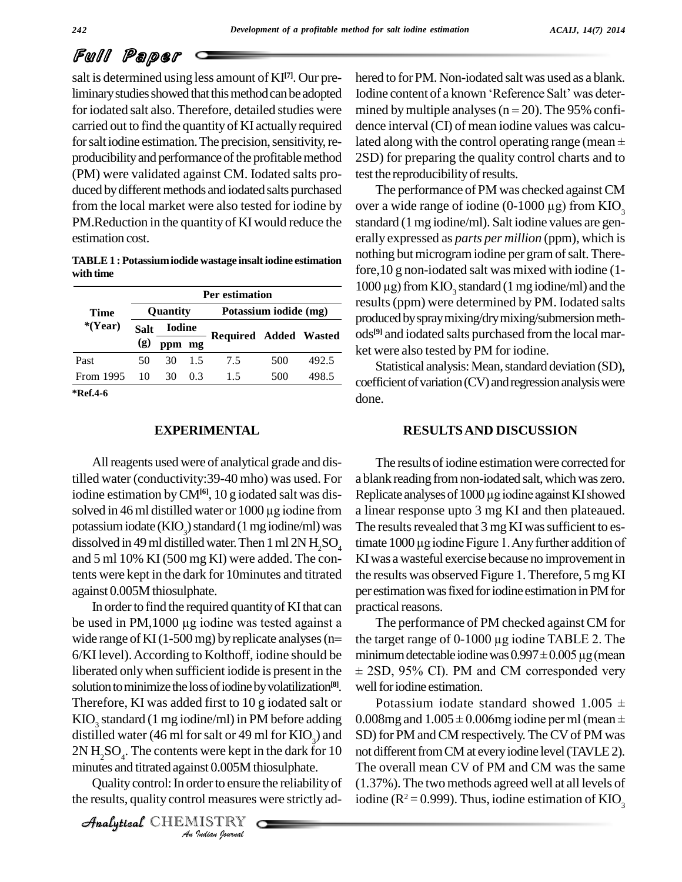## Full Paper

salt is determined using less amount of KI **[7]**. Our preliminary studies showed that this method can be adopted Iodine content of a known 'Reference Salt' was deterfor iodated salt also. Therefore, detailed studies were carried out to find the quantity of KI actually required for saltiodine estimation. The precision, sensitivity, re- lated along with the control operating range (mean  $\pm$ producibility and performance of the profitable method (PM) were validated against CM. Iodated salts pro duced by different methods and iodated salts purchased from the local market were also tested for iodine by PM. Reduction in the quantity of KI would reduce the estimation cost.

#### **TABLE1 : Potassiumiodide wastage insaltiodine estimation with time**

|                         | <b>Per estimation</b> |               |     |                              |     |       |  |  |
|-------------------------|-----------------------|---------------|-----|------------------------------|-----|-------|--|--|
| Time                    | <b>Ouantity</b>       |               |     | Potassium iodide (mg)        |     |       |  |  |
| $*(Year)$               | <b>Salt</b>           | <b>Iodine</b> |     |                              |     |       |  |  |
|                         | (g)                   | ppm mg        |     | <b>Required Added Wasted</b> |     |       |  |  |
| Past                    | 50                    | 30            | 15  | 7.5                          | 500 | 492.5 |  |  |
| From 1995               | 10                    | 30            | 0.3 | 1.5                          | 500 | 498.5 |  |  |
| $*D_{\alpha}f \wedge f$ |                       |               |     |                              |     |       |  |  |

**\*Ref.4-6**

#### **EXPERIMENTAL**

All reagents used were of analytical grade and distilled water (conductivity:39-40 mho) was used. For a blank readi<br>iodine estimation by CM<sup>[6]</sup>, 10 g iodated salt was dis-<br>solved in 46 ml distilled water or 1000 µg iodine from a linear resp iodine estimation byCM**[6]**, 10 g iodated salt was dis dissolved in 49 ml distilled water. Then 1 ml  $2N$  H<sub>2</sub>SO<sub>4</sub> and 5 ml 10% KI (500 mg KI) were added. The contents were kept in the dark for 10minutes and titrated against 0.005M thiosulphate.

distilled water (46 ml for salt or 49 ml for  $KIO_3$ ) and  $SD$ ) for *I* said of 49 In<br> *I* were kept in<br> *Inst* 0.005M the<br> *I* der to ensure<br> *I* ISTRY  $2N H_2SO_4$ . The contents were kept in the dark for 10 not diff In order to find the required quantity of KI that can practic against 0.005M thiosulphate. per est<br>In order to find the required quantity of KI that can<br>be used in PM,1000 µg iodine was tested against a Tl In order to find the required quantity of KI that can<br>be used in PM, 1000  $\mu$ g iodine was tested against a<br>wide range of KI(1-500 mg) by replicate analyses (n= the targe 6/KI level).According to Kolthoff, iodine should be liberated onlywhen sufficient iodide is present in the solution to minimize the loss of iodine by volatilization<sup>[8]</sup>. well: Therefore, KI was added first to 10 g iodated salt or KIO<sub>2</sub> standard (1 mg iodine/ml) in PM before adding minutes and titrated against 0.005M thiosulphate.

Quality control: In order to ensure the reliability of the results, quality control measures were strictly ad-

CHEMISTRY COMMENT

hered to forPM. Non-iodated salt was used as a blank. hered to for PM. Non-iodated salt was used as a blank.<br>Iodine content of a known 'Reference Salt' was determined by multiple analyses ( $n = 20$ ). The 95% confidence interval (CI) of mean iodine values was calcumined by multiple analyses (n = 20). The 95% confi-<br>dence interval (CI) of mean iodine values was calcu-<br>lated along with the control operating range (mean  $\pm$ 2SD) for preparing the quality control charts and to test the reproducibility of results.

The performance of PM was checked against CM over a wide range of iodine (0-1000  $\mu$ g) from KIO<sub>3</sub> standard (1 mg iodine/ml). Salt iodine values are generally expressed as *parts per million* (ppm), which is nothing but microgram iodine per gram of salt. Therefore,10 g non-iodated salt was mixed with iodine (1- 1000 μg) from KIO<sub>3</sub> standard (1 mg iodine/ml) and the results(ppm) were determined by PM.Iodated salts produced by spray mixing/dry mixing/submersion meth-**Required** Added Wasted ods<sup>[9]</sup> and iodated salts purchased from the local market were also tested by PM for iodine.

> Statistical analysis: Mean, standard deviation (SD),  $coefficient of variation (CV)$  and regression analysis were done.

#### **RESULTSAND DISCUSSION**

The results of iodine estimation were corrected for a blank reading from non-iodated salt, which was zero. Replicate analyses of 1000 µg iodine against KI showed a linear response upto 3 mg KI and then plateaued.<br>The results revealed that 3 mg KI was sufficient to es-<br>timate 1000 µg iodine Figure 1. Any further addition of The results revealed that 3 mg KI was sufficient to es-KIwas awasteful exercise because no improvement in the results was observed Figure 1. Therefore, 5 mg KI per estimation was fixed for iodine estimation in PM for practical reasons. potassium iodate (KIO<sub>3</sub>) standard (1 mg iodine/ml) was The results revealed that 3 mg KI was sufficient to es-<br>dissolved in 49 ml distilled water. Then 1 ml 2N H<sub>2</sub>SO<sub>4</sub> timate 1000 µg iodine Figure 1. Any further additi

The performance of PM checked againstCM for practical reasons.<br>The performance of PM checked against CM for<br>the target range of 0-1000 µg iodine TABLE 2. The The performance of PM checked against CM for<br>the target range of 0-1000 µg iodine TABLE 2. The<br>minimum detectable iodine was  $0.997 \pm 0.005$  µg (mean e target range of 0-1000 µg iodine TABLE 2. The<br>inimum detectable iodine was 0.997 ± 0.005 µg (mean<br>2SD, 95% CI). PM and CM corresponded very well for iodine estimation.  $\pm$  2SD, 95% CI). PM and CM corresponded very<br>well for iodine estimation.<br>Potassium iodate standard showed 1.005  $\pm$ 

0.008mg and  $1.005 \pm 0.006$ mg iodine perml (mean  $\pm$ SD) for PM and CM respectively. The CV of PM was not different from CM at every iodine level (TAVLE 2). The overall mean CV of PM and CM was the same (1.37%). The twomethods agreed well at all levels of iodine ( $\mathbb{R}^2 = 0.999$ ). Thus, iodine estimation of KIO<sub>3</sub>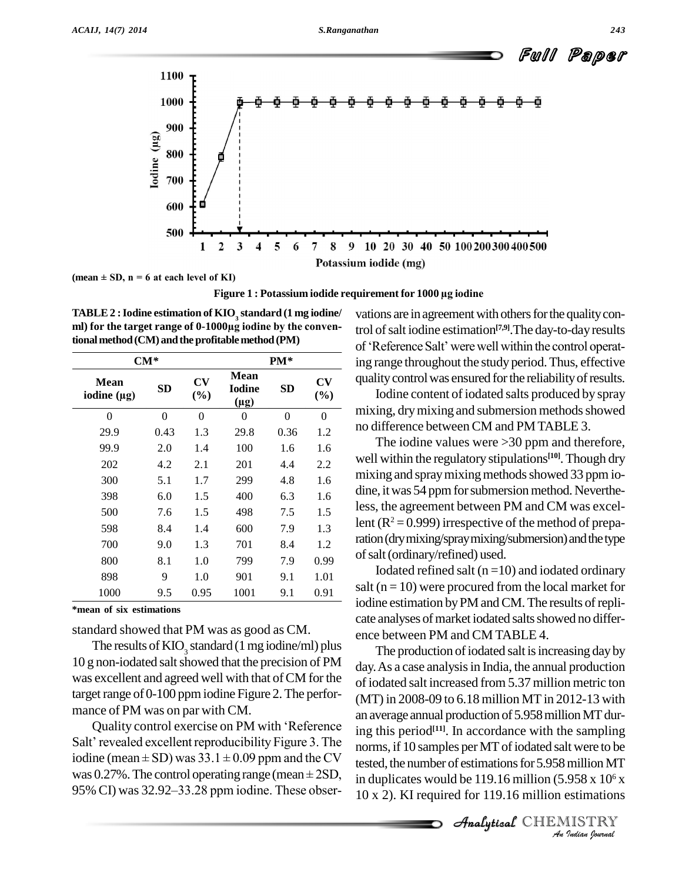



**Figure <sup>1</sup> : Potassium iodide requirement for <sup>1000</sup> µg iodine**

**TABLE2 :Iodine estimation of KIO<sup>3</sup> standard (1 mg iodine/ ml) for the target range of 0-1000µg iodine by the conven**tional method (CM) and the profitable method (PM)

| $CM^*$                   | $PM*$     |                |                                    |           |                |
|--------------------------|-----------|----------------|------------------------------------|-----------|----------------|
| Mean<br>iodine $(\mu g)$ | <b>SD</b> | CV<br>(%)      | Mean<br><b>Iodine</b><br>$(\mu g)$ | <b>SD</b> | CV<br>(%)      |
| $\theta$                 | $\theta$  | $\overline{0}$ | $\theta$                           | $\theta$  | $\overline{0}$ |
| 29.9                     | 0.43      | 1.3            | 29.8                               | 0.36      | 1.2            |
| 99.9                     | 2.0       | 1.4            | 100                                | 1.6       | 1.6            |
| 202                      | 4.2       | 2.1            | 201                                | 4.4       | 2.2            |
| 300                      | 5.1       | 1.7            | 299                                | 4.8       | 1.6            |
| 398                      | 6.0       | 1.5            | 400                                | 6.3       | 1.6            |
| 500                      | 7.6       | 1.5            | 498                                | 7.5       | 1.5            |
| 598                      | 8.4       | 1.4            | 600                                | 7.9       | 1.3            |
| 700                      | 9.0       | 1.3            | 701                                | 8.4       | 1.2            |
| 800                      | 8.1       | 1.0            | 799                                | 7.9       | 0.99           |
| 898                      | 9         | 1.0            | 901                                | 9.1       | 1.01           |
| 1000                     | 9.5       | 0.95           | 1001                               | 9.1       | 0.91           |

**\*mean of six estimations**

standard showed that PM was as good as CM.

The results of  $KIO<sub>2</sub>$  standard (1 mg iodine/ml) plus 10 g non-iodated saltshowed that the precision of PM was excellent and agreed well with that of CM for the target range of 0-100 ppm iodine Figure 2. The perfor-<br>mance of PM was on par with CM.<br>Quality control exercise on PM with 'Reference<br>in  $\sigma$  th mance of PM was on par with CM.

mance of PM was on par with CM.<br>Quality control exercise on PM with 'Reference ing the Salt' revealed excellent reproducibility Figure 3. The norms Quality control exercise on PM with 'Reference<br>
Salt' revealed excellent reproducibility Figure 3. The<br>
iodine (mean ± SD) was  $33.1 \pm 0.09$  ppm and the CV<br>
tested the n Salt' revealed excellent reproducibility Figure 3. The<br>iodine (mean  $\pm$  SD) was 33.1  $\pm$  0.09 ppm and the CV<br>was 0.27%. The control operating range (mean  $\pm$  2SD, iodine (mean  $\pm$  SD) was 33.1  $\pm$  0.09 ppm and the CV was 0.27%. The control operating range (mean  $\pm$  2SD, 95% CI) was 32.92–33.28 ppm iodine. These obser-

vations are in agreement with others for the quality control of salt iodine estimation<sup>[7,9]</sup>. The day-to-day results vations are in agreement with others for the quality control of salt iodine estimation<sup>[7,9]</sup>. The day-to-day results of 'Reference Salt' were well within the control operating range throughout the study period.Thus, effective  $cv$  quality control was ensured for the reliability of results.

Iodine content of iodated salts produced by spray mixing, dry mixing and submersion methods showed no difference between CM and PMTABLE 3.

The iodine values were >30 ppm and therefore, well within the regulatory stipulations **[10]**.Though dry mixing and spray mixing methods showed 33 ppm iodine, it was 54 ppm for submersion method. Nevertheless, the agreement between PM and CM was excellent ( $R^2 = 0.999$ ) irrespective of the method of preparation (dry mixing/spray mixing/submersion) and the type ofsalt(ordinary/refined) used.

Iodated refined salt  $(n=10)$  and iodated ordinary salt ( $n = 10$ ) were procured from the local market for iodine estimation by PM and CM. The results of replicate analyses of market iodated salts showed no difference between PM and CM TABLE 4.

norms, if 10 samples per MT of iodated salt were to be<br>tested, the number of estimations for 5.958 million MT<br>in duplicates would be 119.16 million (5.958 x 10<sup>6</sup> x<br>10 x 2). KI required for 119.16 million estimations<br>*Ana* The production of iodated salt is increasing day by day. As a case analysis in India, the annual production ofiodated salt increased from 5.37 million metric ton (MT) in 2008-09 to 6.18 million MT in 2012-13 with an average annual production of 5.958 million MT during this period **[11]**. In accordance with the sampling tested, the number of estimations for 5.958 million MT in duplicates would be 119.16 million  $(5.958 \times 10^6 \text{ x})$ 10 x 2). KI required for 119.16 million estimations

Analytical CHEMISTRY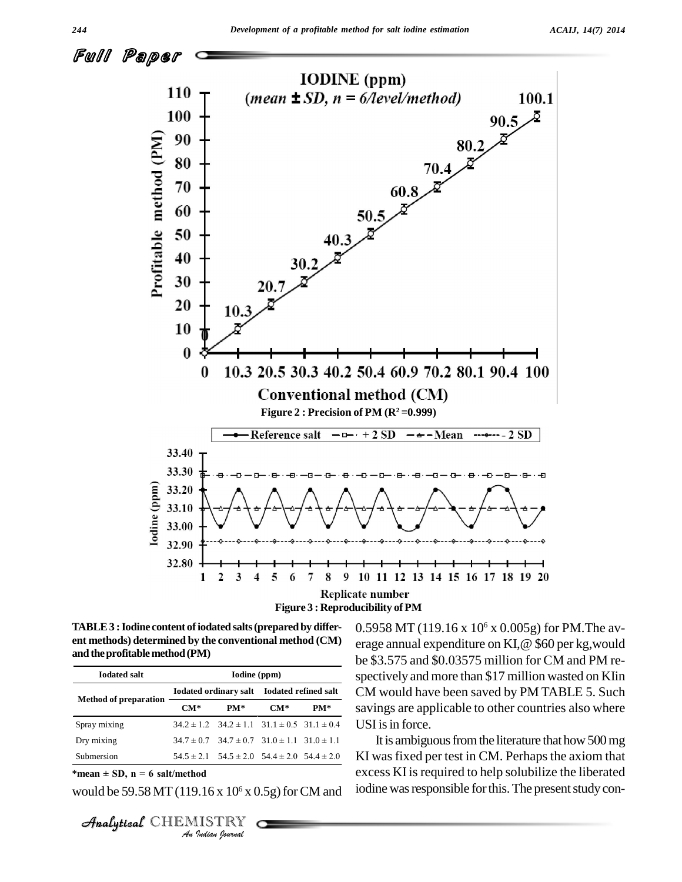

**TABLE3 :Iodine content ofiodated salts(preparedby differ ent methods) determined by the conventional method (CM)** and the profitable method (PM)

| Iodated ordinary salt Iodated refined salt<br><b>Method of preparation</b><br>$CM*$<br>$PM*$<br>$CM*$<br>Spray mixing<br>$34.2 \pm 1.2$ $34.2 \pm 1.1$ $31.1 \pm 0.5$ $31.1 \pm 0.4$<br>Dry mixing<br>$34.7 \pm 0.7$ $34.7 \pm 0.7$ $31.0 \pm 1.1$ $31.0 \pm 1.1$ |     |
|-------------------------------------------------------------------------------------------------------------------------------------------------------------------------------------------------------------------------------------------------------------------|-----|
|                                                                                                                                                                                                                                                                   |     |
|                                                                                                                                                                                                                                                                   | PM* |
|                                                                                                                                                                                                                                                                   |     |
|                                                                                                                                                                                                                                                                   |     |
| Submersion<br>$54.5 \pm 2.1$ $54.5 \pm 2.0$ $54.4 \pm 2.0$ $54.4 \pm 2.0$                                                                                                                                                                                         |     |
| *mean $\pm$ SD, n = 6 salt/method<br>would be 59.58 MT (119.16 x $10^6$ x 0.5g) for CM and                                                                                                                                                                        |     |

would be 59.58 MT (119.16 x  $10^6$  x 0.5g) for CM and  $\,$  10dine was

**Analytical** CHEMISTRY

0.5958 MT (119.16 x 10 <sup>6</sup> x 0.005g) for PM.The av erage annual expenditure on KI,@ \$60 per kg,would be \$3.575 and \$0.03575 million for CM and PM re spectively and more than \$17 million wasted on KIin CM would have been saved by PM TABLE 5. Such savings are applicable to other countries also where USI is in force.

It is ambiguous from the literature that how 500 mg KI was fixed per test in CM. Perhaps the axiom that excess KI is required to help solubilize the liberated iodine was responsible for this. The present study con-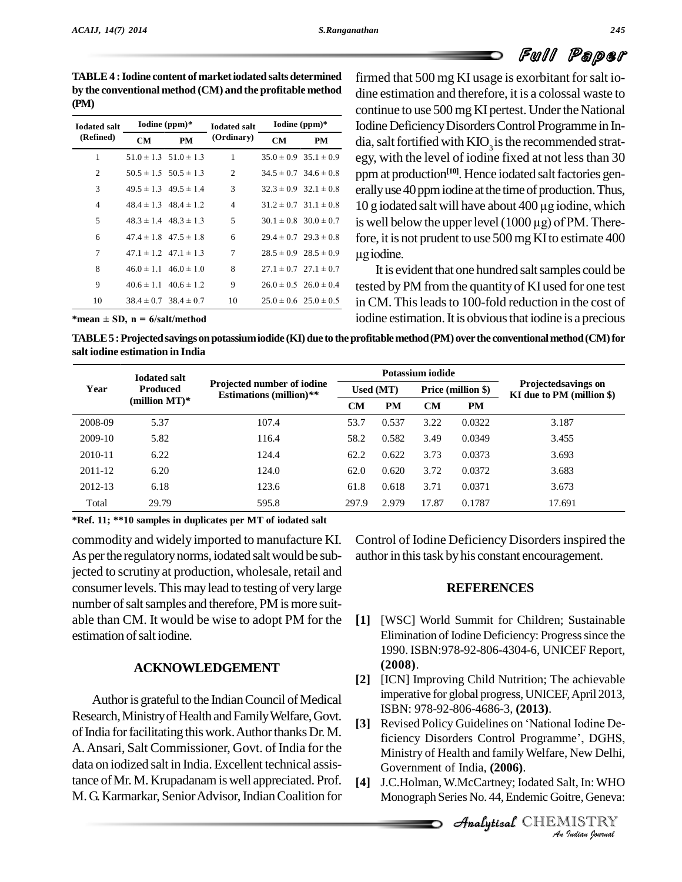# Full Paper

**TABLE4 :Iodine content of marketiodated salts determined by the conventional method (CM) and the profitable method (PM)**

| <b>Iodated salt</b><br>(Refined) |           | Iodine $(ppm)*$               | <b>Iodated salt</b> | Iodine $(ppm)*$ |                               |  |
|----------------------------------|-----------|-------------------------------|---------------------|-----------------|-------------------------------|--|
|                                  | <b>CM</b> | PM                            | (Ordinary)          | <b>CM</b>       | PM                            |  |
| 1                                |           | $51.0 \pm 1.3$ $51.0 \pm 1.3$ | 1                   |                 | $35.0 \pm 0.9$ $35.1 \pm 0.9$ |  |
| $\overline{c}$                   |           | $50.5 \pm 1.5$ $50.5 \pm 1.3$ | 2                   |                 | $34.5 \pm 0.7$ $34.6 \pm 0.8$ |  |
| 3                                |           | $49.5 \pm 1.3$ $49.5 \pm 1.4$ | 3                   |                 | $32.3 \pm 0.9$ $32.1 \pm 0.8$ |  |
| 4                                |           | $48.4 \pm 1.3$ $48.4 \pm 1.2$ | 4                   |                 | $31.2 \pm 0.7$ $31.1 \pm 0.8$ |  |
| 5                                |           | $48.3 \pm 1.4$ $48.3 \pm 1.3$ | 5                   |                 | $30.1 \pm 0.8$ $30.0 \pm 0.7$ |  |
| 6                                |           | $47.4 \pm 1.8$ $47.5 \pm 1.8$ | 6                   |                 | $29.4 \pm 0.7$ $29.3 \pm 0.8$ |  |
| 7                                |           | $47.1 \pm 1.2$ $47.1 \pm 1.3$ | 7                   |                 | $28.5 \pm 0.9$ $28.5 \pm 0.9$ |  |
| 8                                |           | $46.0 \pm 1.1$ $46.0 \pm 1.0$ | 8                   |                 | $27.1 \pm 0.7$ $27.1 \pm 0.7$ |  |
| 9                                |           | $40.6 \pm 1.1$ $40.6 \pm 1.2$ | 9                   |                 | $26.0 \pm 0.5$ $26.0 \pm 0.4$ |  |
| 10                               |           | $38.4 \pm 0.7$ $38.4 \pm 0.7$ | 10                  |                 | $25.0 \pm 0.6$ $25.0 \pm 0.5$ |  |

 $\frac{10\text{data}}{\text{CM}}$  **CM PM** in Commended Strategy Disorders Control Programme in In-dia, salt fortified with KIO<sub>3</sub> is the recommended stratfirmed that 500 mg KI usage is exorbitant for salt iodine estimation and therefore, it is a colossal waste to continue to use 500 mg KI pertest. Under the National egy, with the level of iodine fixed at not lessthan 30 ppm at production<sup>[10]</sup>. Hence iodated salt factories gen-<br>erally use 40 ppm iodine at the time of production. Thus,<br>10 g iodated salt will have about 400 µg iodine, which erally use 40 ppm iodine at the time of production. Thus,  $10$  g iodated salt will have about  $400 \mu$ g iodine, which fore, it is not prudent to use 500 mg KI to estimate 400 is well below the upper level  $(1000 \mu g)$  of PM. There-

> It is evident that one hundred saltsamples could be tested byPM from the quantityof KI used for one test in CM. This leads to 100-fold reduction in the cost of iodine estimation. It is obvious that iodine is a precious

 $*$ **mean**  $\pm$  **SD**, **n** =  $6$ /salt/method

**TABLE5 :Projectedsavingsonpotassiumiodide (KI)due to theprofitablemethod(PM)overthe conventionalmethod(CM)for salt iodine estimation in India**

| <b>Iodated salt</b>     |       |                                                              | Potassium iodide |           |           |                    |                                                         |  |
|-------------------------|-------|--------------------------------------------------------------|------------------|-----------|-----------|--------------------|---------------------------------------------------------|--|
| Year<br><b>Produced</b> |       | Projected number of iodine<br><b>Estimations</b> (million)** | Used (MT)        |           |           | Price (million \$) | <b>Projectedsavings on</b><br>KI due to PM (million \$) |  |
| (million $MT$ )*        | CМ    |                                                              | <b>PM</b>        | <b>CM</b> | <b>PM</b> |                    |                                                         |  |
| 2008-09                 | 5.37  | 107.4                                                        | 53.7             | 0.537     | 3.22      | 0.0322             | 3.187                                                   |  |
| 2009-10                 | 5.82  | 116.4                                                        | 58.2             | 0.582     | 3.49      | 0.0349             | 3.455                                                   |  |
| 2010-11                 | 6.22  | 124.4                                                        | 62.2             | 0.622     | 3.73      | 0.0373             | 3.693                                                   |  |
| 2011-12                 | 6.20  | 124.0                                                        | 62.0             | 0.620     | 3.72      | 0.0372             | 3.683                                                   |  |
| 2012-13                 | 6.18  | 123.6                                                        | 61.8             | 0.618     | 3.71      | 0.0371             | 3.673                                                   |  |
| Total                   | 29.79 | 595.8                                                        | 297.9            | 2.979     | 17.87     | 0.1787             | 17.691                                                  |  |

**\*Ref. 11; \*\*10 samples in duplicates per MT of iodated salt**

commodity and widely imported to manufacture KI.<br>As per the regulatory norms, iodated salt would be subjected to scrutiny at production, wholesale, retail and consumer levels. This may lead to testing of very large number of salt samples and therefore, PM is more suitable than CM. It would be wise to adopt PM for the estimation of salt iodine.

### **ACKNOWLEDGEMENT**

Author is grateful to the Indian Council of Medical Research,MinistryofHealth andFamilyWelfare,Govt. of India for facilitating this work. Author thanks Dr. M. A.Ansari, Salt Commissioner, Govt. of India for the data on iodized salt in India.Excellent technical assistance of Mr. M. Krupadanam is well appreciated. Prof. M. G. Karmarkar, Senior Advisor, Indian Coalition for Control of Iodine Deficiency Disordersinspired the author in this task by his constant encouragement.

### **REFERENCES**

- **[1]** [WSC] World Summit for Children; Sustainable Elimination of Iodine Deficiency: Progress since the 1990. ISBN:978-92-806-4304-6, UNICEF Report, **(2008)**.
- **[2]** [ICN] Improving Child Nutrition; The achievable imperative for global progress, UNICEF,April 2013, ISBN: 978-92-806-4686-3, **(2013)**. imperative for global progress, UNICEF, April 2013,<br>ISBN: 978-92-806-4686-3, (**2013**).<br>**[3]** Revised Policy Guidelines on 'National Iodine De-
- ficiency Disorders Control Programme', DGHS, *Indian Indian*<br>*I I*, *In: WHO*<br>*IISTRY*<br>*IISTRY*<br>*IISTRY* Analytical Ministry of Health and family Welfare, New Delhi, ISBN: 978-92-806-4686-3, (**2013**).<br>Revised Policy Guidelines on 'National Iodine De-<br>ficiency Disorders Control Programme', DGHS, Government of India, **(2006)**.
- **[4]** J.C.Holman,W.McCartney; Iodated Salt, In:WHO Monograph Series No. 44,Endemic Goitre, Geneva: